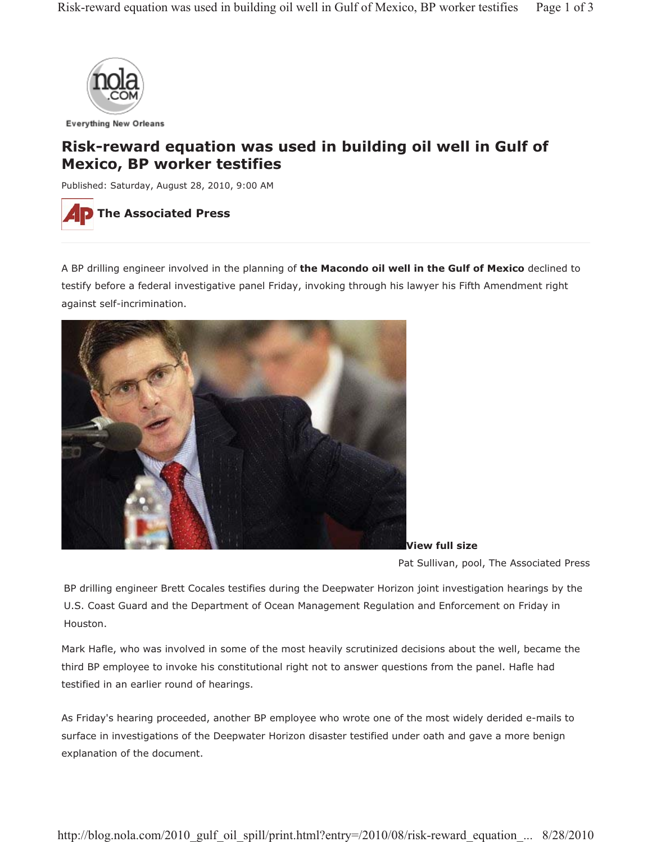

**Everything New Orleans** 

## **Risk-reward equation was used in building oil well in Gulf of Mexico, BP worker testifies**

Published: Saturday, August 28, 2010, 9:00 AM



A BP drilling engineer involved in the planning of **the Macondo oil well in the Gulf of Mexico** declined to testify before a federal investigative panel Friday, invoking through his lawyer his Fifth Amendment right against self-incrimination.



Pat Sullivan, pool, The Associated Press **View full size**

BP drilling engineer Brett Cocales testifies during the Deepwater Horizon joint investigation hearings by the U.S. Coast Guard and the Department of Ocean Management Regulation and Enforcement on Friday in Houston.

Mark Hafle, who was involved in some of the most heavily scrutinized decisions about the well, became the third BP employee to invoke his constitutional right not to answer questions from the panel. Hafle had testified in an earlier round of hearings.

As Friday's hearing proceeded, another BP employee who wrote one of the most widely derided e-mails to surface in investigations of the Deepwater Horizon disaster testified under oath and gave a more benign explanation of the document.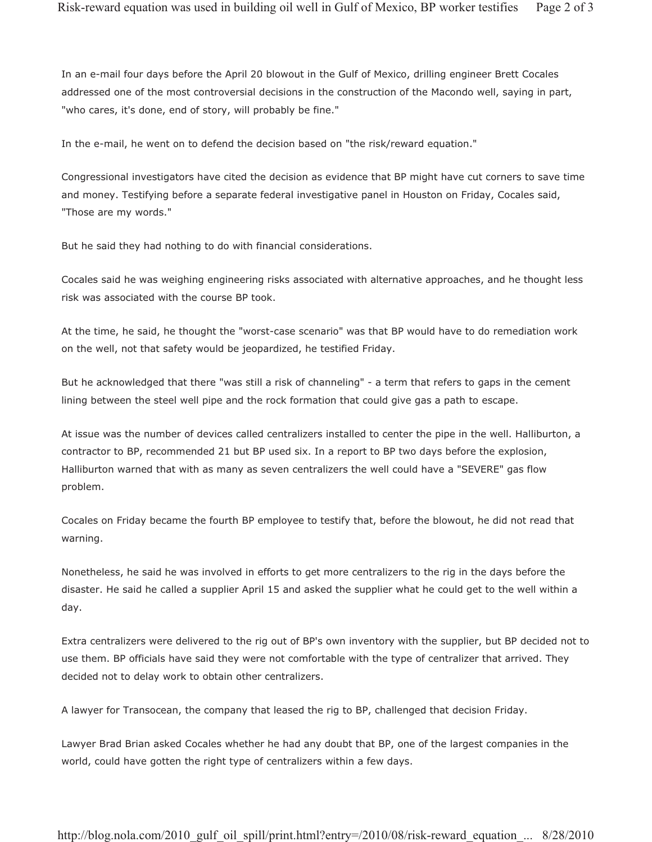In an e-mail four days before the April 20 blowout in the Gulf of Mexico, drilling engineer Brett Cocales addressed one of the most controversial decisions in the construction of the Macondo well, saying in part, "who cares, it's done, end of story, will probably be fine."

In the e-mail, he went on to defend the decision based on "the risk/reward equation."

Congressional investigators have cited the decision as evidence that BP might have cut corners to save time and money. Testifying before a separate federal investigative panel in Houston on Friday, Cocales said, "Those are my words."

But he said they had nothing to do with financial considerations.

Cocales said he was weighing engineering risks associated with alternative approaches, and he thought less risk was associated with the course BP took.

At the time, he said, he thought the "worst-case scenario" was that BP would have to do remediation work on the well, not that safety would be jeopardized, he testified Friday.

But he acknowledged that there "was still a risk of channeling" - a term that refers to gaps in the cement lining between the steel well pipe and the rock formation that could give gas a path to escape.

At issue was the number of devices called centralizers installed to center the pipe in the well. Halliburton, a contractor to BP, recommended 21 but BP used six. In a report to BP two days before the explosion, Halliburton warned that with as many as seven centralizers the well could have a "SEVERE" gas flow problem.

Cocales on Friday became the fourth BP employee to testify that, before the blowout, he did not read that warning.

Nonetheless, he said he was involved in efforts to get more centralizers to the rig in the days before the disaster. He said he called a supplier April 15 and asked the supplier what he could get to the well within a day.

Extra centralizers were delivered to the rig out of BP's own inventory with the supplier, but BP decided not to use them. BP officials have said they were not comfortable with the type of centralizer that arrived. They decided not to delay work to obtain other centralizers.

A lawyer for Transocean, the company that leased the rig to BP, challenged that decision Friday.

Lawyer Brad Brian asked Cocales whether he had any doubt that BP, one of the largest companies in the world, could have gotten the right type of centralizers within a few days.